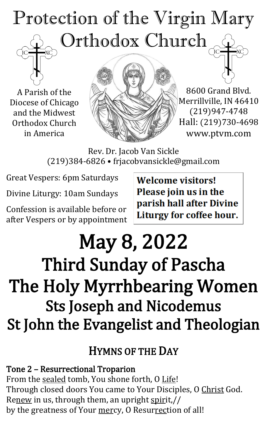# Protection of the Virgin Mary Orthodox Church

A Parish of the Diocese of Chicago and the Midwest Orthodox Church in America



8600 Grand Blvd. Merrillville, IN 46410 (219)947-4748 Hall: (219)730-4698 www.ptvm.com

Rev. Dr. Jacob Van Sickle (219)384-6826 • frjacobvansickle@gmail.com

Great Vespers: 6pm Saturdays

Divine Liturgy: 10am Sundays

Confession is available before or after Vespers or by appointment **Welcome visitors!** Please join us in the parish hall after Divine Liturgy for coffee hour.

## May 8, 2022 Third Sunday of Pascha The Holy Myrrhbearing Women Sts Joseph and Nicodemus St John the Evangelist and Theologian

## HYMNS OF THE DAY

Tone 2 – Resurrectional Troparion From the sealed tomb, You shone forth, O Life! Through closed doors You came to Your Disciples, O Christ God. Renew in us, through them, an upright spirit,// by the greatness of Your mercy, O Resurrection of all!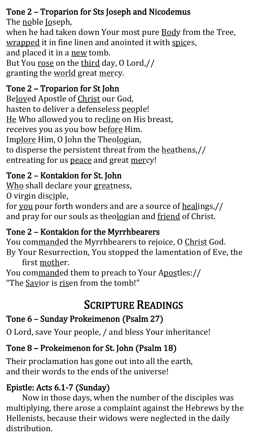#### Tone 2 – Troparion for Sts Joseph and Nicodemus

The noble **Joseph**, when he had taken down Your most pure **Body from the Tree**, wrapped it in fine linen and anointed it with spices, and placed it in a new tomb. But You rose on the third day, O Lord,// granting the world great mercy.

#### Tone 2 – Troparion for St John

Beloved Apostle of Christ our God, hasten to deliver a defenseless people! He Who allowed you to recline on His breast, receives you as you bow before Him. Implore Him, O John the Theologian, to disperse the persistent threat from the heathens,// entreating for us peace and great mercy!

#### Tone 2 – Kontakion for St. John

Who shall declare your greatness, O virgin disciple,

for you pour forth wonders and are a source of healings,// and pray for our souls as theologian and friend of Christ.

## Tone 2 – Kontakion for the Myrrhbearers

You commanded the Myrrhbearers to rejoice, O Christ God. By Your Resurrection, You stopped the lamentation of Eve, the

first mother. You commanded them to preach to Your Apostles:// "The Savior is risen from the tomb!"

## SCRIPTURE READINGS

## Tone 6 – Sunday Prokeimenon (Psalm 27)

O Lord, save Your people, / and bless Your inheritance!

## Tone 8 – Prokeimenon for St. John (Psalm 18)

Their proclamation has gone out into all the earth, and their words to the ends of the universe!

## Epistle: Acts 6.1-7 (Sunday)

Now in those days, when the number of the disciples was multiplying, there arose a complaint against the Hebrews by the Hellenists, because their widows were neglected in the daily distribution.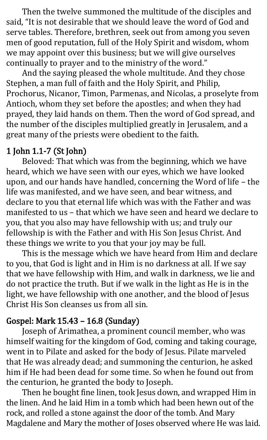Then the twelve summoned the multitude of the disciples and said, "It is not desirable that we should leave the word of God and serve tables. Therefore, brethren, seek out from among you seven men of good reputation, full of the Holy Spirit and wisdom, whom we may appoint over this business; but we will give ourselves continually to prayer and to the ministry of the word."

And the saying pleased the whole multitude. And they chose Stephen, a man full of faith and the Holy Spirit, and Philip, Prochorus, Nicanor, Timon, Parmenas, and Nicolas, a proselyte from Antioch, whom they set before the apostles; and when they had prayed, they laid hands on them. Then the word of God spread, and the number of the disciples multiplied greatly in Jerusalem, and a great many of the priests were obedient to the faith.

#### 1 John 1.1-7 (St John)

Beloved: That which was from the beginning, which we have heard, which we have seen with our eyes, which we have looked upon, and our hands have handled, concerning the Word of life – the life was manifested, and we have seen, and bear witness, and declare to you that eternal life which was with the Father and was manifested to us – that which we have seen and heard we declare to you, that you also may have fellowship with us; and truly our fellowship is with the Father and with His Son Jesus Christ. And these things we write to you that your joy may be full.

This is the message which we have heard from Him and declare to you, that God is light and in Him is no darkness at all. If we say that we have fellowship with Him, and walk in darkness, we lie and do not practice the truth. But if we walk in the light as He is in the light, we have fellowship with one another, and the blood of Jesus Christ His Son cleanses us from all sin.

#### Gospel: Mark 15.43 – 16.8 (Sunday)

Joseph of Arimathea, a prominent council member, who was himself waiting for the kingdom of God, coming and taking courage, went in to Pilate and asked for the body of Jesus. Pilate marveled that He was already dead; and summoning the centurion, he asked him if He had been dead for some time. So when he found out from the centurion, he granted the body to Joseph.

Then he bought fine linen, took Jesus down, and wrapped Him in the linen. And he laid Him in a tomb which had been hewn out of the rock, and rolled a stone against the door of the tomb. And Mary Magdalene and Mary the mother of Joses observed where He was laid.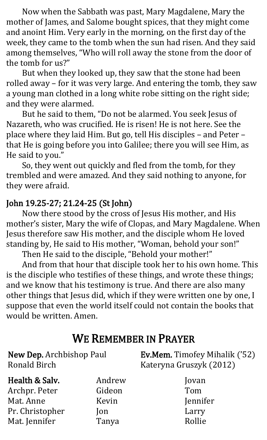Now when the Sabbath was past, Mary Magdalene, Mary the mother of James, and Salome bought spices, that they might come and anoint Him. Very early in the morning, on the first day of the week, they came to the tomb when the sun had risen. And they said among themselves, "Who will roll away the stone from the door of the tomb for us?"

But when they looked up, they saw that the stone had been rolled away – for it was very large. And entering the tomb, they saw a young man clothed in a long white robe sitting on the right side; and they were alarmed.

But he said to them, "Do not be alarmed. You seek Jesus of Nazareth, who was crucified. He is risen! He is not here. See the place where they laid Him. But go, tell His disciples – and Peter – that He is going before you into Galilee; there you will see Him, as He said to you."

So, they went out quickly and fled from the tomb, for they trembled and were amazed. And they said nothing to anyone, for they were afraid.

#### John 19.25-27; 21.24-25 (St John)

Now there stood by the cross of Jesus His mother, and His mother's sister, Mary the wife of Clopas, and Mary Magdalene. When Jesus therefore saw His mother, and the disciple whom He loved standing by, He said to His mother, "Woman, behold your son!"

Then He said to the disciple, "Behold your mother!"

And from that hour that disciple took her to his own home. This is the disciple who testifies of these things, and wrote these things; and we know that his testimony is true. And there are also many other things that Jesus did, which if they were written one by one, I suppose that even the world itself could not contain the books that would be written. Amen.

## WE REMEMBER IN PRAYER

| New Dep. Archbishop Paul<br><b>Ronald Birch</b> |            | <b>Ev.Mem.</b> Timofey Mihalik ('52)<br>Kateryna Gruszyk (2012) |  |
|-------------------------------------------------|------------|-----------------------------------------------------------------|--|
| Health & Salv.                                  | Andrew     | Jovan                                                           |  |
| Archpr. Peter                                   | Gideon     | Tom                                                             |  |
| Mat. Anne                                       | Kevin      | Jennifer                                                        |  |
| Pr. Christopher                                 | <b>lon</b> | Larry                                                           |  |
| Mat. Jennifer                                   | Tanya      | Rollie                                                          |  |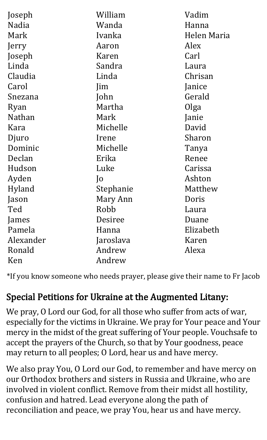| Joseph        | William         | Vadim       |
|---------------|-----------------|-------------|
| <b>Nadia</b>  | Wanda           | Hanna       |
| Mark          | Ivanka          | Helen Maria |
|               |                 |             |
| Jerry         | Aaron           | Alex        |
| Joseph        | Karen           | Carl        |
| Linda         | Sandra          | Laura       |
| Claudia       | Linda           | Chrisan     |
| Carol         | Jim             | Janice      |
| Snezana       | John            | Gerald      |
| Ryan          | Martha          | Olga        |
| <b>Nathan</b> | Mark            | Janie       |
| Kara          | Michelle        | David       |
| Djuro         | Irene           | Sharon      |
| Dominic       | Michelle        | Tanya       |
| Declan        | Erika           | Renee       |
| Hudson        | Luke            | Carissa     |
| Ayden         | $ 0\rangle$     | Ashton      |
| Hyland        | Stephanie       | Matthew     |
| Jason         | Mary Ann        | Doris       |
| Ted           | Robb            | Laura       |
| James         | Desiree         | Duane       |
| Pamela        | Hanna           | Elizabeth   |
| Alexander     | Jaroslava       | Karen       |
| Ronald        | Andrew<br>Alexa |             |
| Ken           | Andrew          |             |

\*If you know someone who needs prayer, please give their name to Fr Jacob

## Special Petitions for Ukraine at the Augmented Litany:

We pray, O Lord our God, for all those who suffer from acts of war, especially for the victims in Ukraine. We pray for Your peace and Your mercy in the midst of the great suffering of Your people. Vouchsafe to accept the prayers of the Church, so that by Your goodness, peace may return to all peoples; O Lord, hear us and have mercy.

We also pray You, O Lord our God, to remember and have mercy on our Orthodox brothers and sisters in Russia and Ukraine, who are involved in violent conflict. Remove from their midst all hostility, confusion and hatred. Lead everyone along the path of reconciliation and peace, we pray You, hear us and have mercy.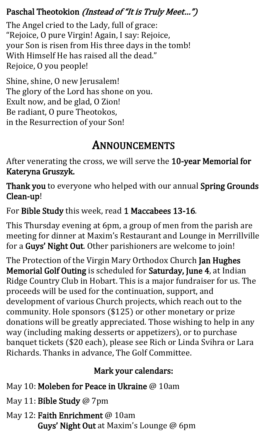#### Paschal Theotokion (Instead of "It is Truly Meet...")

The Angel cried to the Lady, full of grace: "Rejoice, O pure Virgin! Again, I say: Rejoice, your Son is risen from His three days in the tomb! With Himself He has raised all the dead." Rejoice, O you people!

Shine, shine, O new Jerusalem! The glory of the Lord has shone on you. Exult now, and be glad, O Zion! Be radiant, O pure Theotokos, in the Resurrection of your Son!

## ANNOUNCEMENTS

After venerating the cross, we will serve the 10-year Memorial for Kateryna Gruszyk.

Thank you to everyone who helped with our annual Spring Grounds Clean-up!

For Bible Study this week, read 1 Maccabees 13-16.

This Thursday evening at 6pm, a group of men from the parish are meeting for dinner at Maxim's Restaurant and Lounge in Merrillville for a Guys' Night Out. Other parishioners are welcome to join!

The Protection of the Virgin Mary Orthodox Church Jan Hughes Memorial Golf Outing is scheduled for Saturday, June 4, at Indian Ridge Country Club in Hobart. This is a major fundraiser for us. The proceeds will be used for the continuation, support, and development of various Church projects, which reach out to the community. Hole sponsors (\$125) or other monetary or prize donations will be greatly appreciated. Those wishing to help in any way (including making desserts or appetizers), or to purchase banquet tickets (\$20 each), please see Rich or Linda Svihra or Lara Richards. Thanks in advance, The Golf Committee.

#### Mark your calendars:

- May 10: Moleben for Peace in Ukraine @ 10am
- May 11: Bible Study @ 7pm
- May 12: Faith Enrichment @ 10am Guys' Night Out at Maxim's Lounge @ 6pm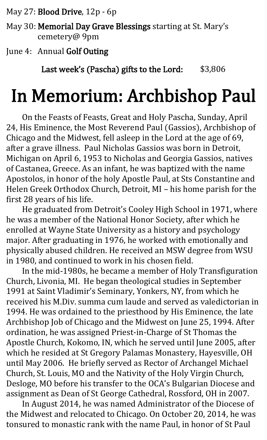May 27: Blood Drive, 12p - 6p

May 30: Memorial Day Grave Blessings starting at St. Mary's cemetery@ 9pm

June 4: Annual Golf Outing

Last week's (Pascha) gifts to the Lord: \$3,806

## In Memorium: Archbishop Paul

On the Feasts of Feasts, Great and Holy Pascha, Sunday, April 24, His Eminence, the Most Reverend Paul (Gassios), Archbishop of Chicago and the Midwest, fell asleep in the Lord at the age of 69, after a grave illness. Paul Nicholas Gassios was born in Detroit, Michigan on April 6, 1953 to Nicholas and Georgia Gassios, natives of Castanea, Greece. As an infant, he was baptized with the name Apostolos, in honor of the holy Apostle Paul, at Sts Constantine and Helen Greek Orthodox Church, Detroit, MI – his home parish for the first 28 years of his life.

He graduated from Detroit's Cooley High School in 1971, where he was a member of the National Honor Society, after which he enrolled at Wayne State University as a history and psychology major. After graduating in 1976, he worked with emotionally and physically abused children. He received an MSW degree from WSU in 1980, and continued to work in his chosen field.

In the mid-1980s, he became a member of Holy Transfiguration Church, Livonia, MI. He began theological studies in September 1991 at Saint Vladimir's Seminary, Yonkers, NY, from which he received his M.Div. summa cum laude and served as valedictorian in 1994. He was ordained to the priesthood by His Eminence, the late Archbishop Job of Chicago and the Midwest on June 25, 1994. After ordination, he was assigned Priest-in-Charge of St Thomas the Apostle Church, Kokomo, IN, which he served until June 2005, after which he resided at St Gregory Palamas Monastery, Hayesville, OH until May 2006. He briefly served as Rector of Archangel Michael Church, St. Louis, MO and the Nativity of the Holy Virgin Church, Desloge, MO before his transfer to the OCA's Bulgarian Diocese and assignment as Dean of St George Cathedral, Rossford, OH in 2007.

In August 2014, he was named Administrator of the Diocese of the Midwest and relocated to Chicago. On October 20, 2014, he was tonsured to monastic rank with the name Paul, in honor of St Paul